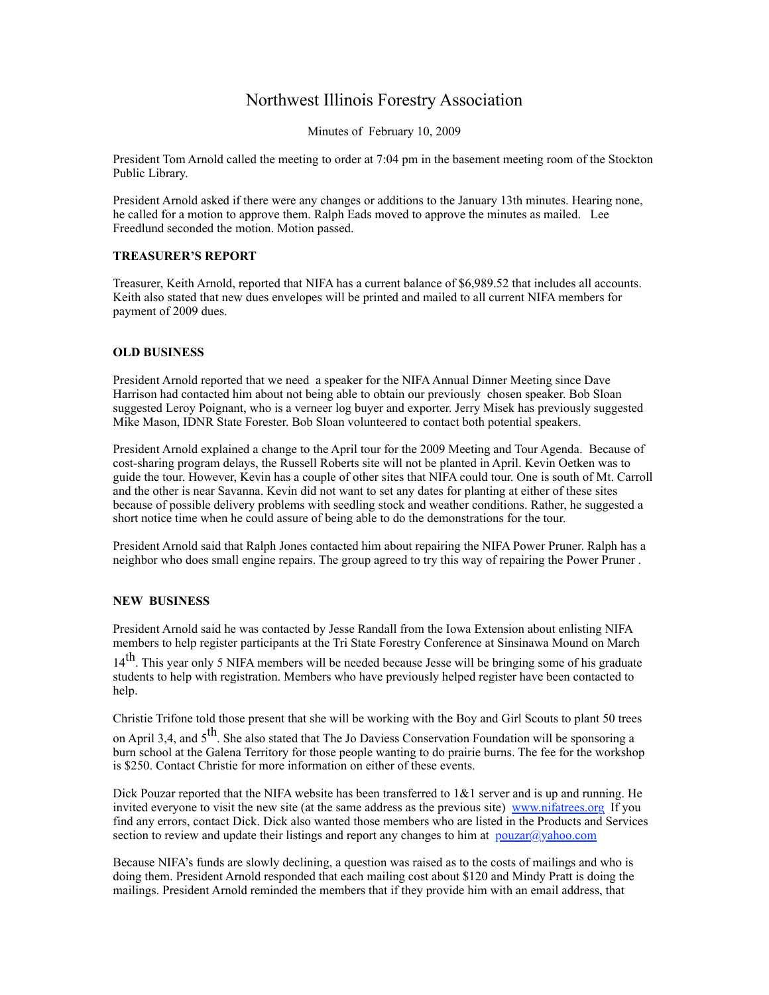## Northwest Illinois Forestry Association

Minutes of February 10, 2009

President Tom Arnold called the meeting to order at 7:04 pm in the basement meeting room of the Stockton Public Library.

President Arnold asked if there were any changes or additions to the January 13th minutes. Hearing none, he called for a motion to approve them. Ralph Eads moved to approve the minutes as mailed. Lee Freedlund seconded the motion. Motion passed.

## **TREASURER'S REPORT**

Treasurer, Keith Arnold, reported that NIFA has a current balance of \$6,989.52 that includes all accounts. Keith also stated that new dues envelopes will be printed and mailed to all current NIFA members for payment of 2009 dues.

## **OLD BUSINESS**

President Arnold reported that we need a speaker for the NIFA Annual Dinner Meeting since Dave Harrison had contacted him about not being able to obtain our previously chosen speaker. Bob Sloan suggested Leroy Poignant, who is a verneer log buyer and exporter. Jerry Misek has previously suggested Mike Mason, IDNR State Forester. Bob Sloan volunteered to contact both potential speakers.

President Arnold explained a change to the April tour for the 2009 Meeting and Tour Agenda. Because of cost-sharing program delays, the Russell Roberts site will not be planted in April. Kevin Oetken was to guide the tour. However, Kevin has a couple of other sites that NIFA could tour. One is south of Mt. Carroll and the other is near Savanna. Kevin did not want to set any dates for planting at either of these sites because of possible delivery problems with seedling stock and weather conditions. Rather, he suggested a short notice time when he could assure of being able to do the demonstrations for the tour.

President Arnold said that Ralph Jones contacted him about repairing the NIFA Power Pruner. Ralph has a neighbor who does small engine repairs. The group agreed to try this way of repairing the Power Pruner .

## **NEW BUSINESS**

President Arnold said he was contacted by Jesse Randall from the Iowa Extension about enlisting NIFA members to help register participants at the Tri State Forestry Conference at Sinsinawa Mound on March

14<sup>th</sup>. This year only 5 NIFA members will be needed because Jesse will be bringing some of his graduate students to help with registration. Members who have previously helped register have been contacted to help.

Christie Trifone told those present that she will be working with the Boy and Girl Scouts to plant 50 trees

on April 3,4, and  $5<sup>th</sup>$ . She also stated that The Jo Daviess Conservation Foundation will be sponsoring a burn school at the Galena Territory for those people wanting to do prairie burns. The fee for the workshop is \$250. Contact Christie for more information on either of these events.

Dick Pouzar reported that the NIFA website has been transferred to  $1\&1$  server and is up and running. He invited everyone to visit the new site (at the same address as the previous site) [www.nifatrees.org](http://www.nifatrees.org/) If you find any errors, contact Dick. Dick also wanted those members who are listed in the Products and Services section to review and update their listings and report any changes to him at  $p_{\text{ouzar}}(\partial y_{\text{al}})$ 

Because NIFA's funds are slowly declining, a question was raised as to the costs of mailings and who is doing them. President Arnold responded that each mailing cost about \$120 and Mindy Pratt is doing the mailings. President Arnold reminded the members that if they provide him with an email address, that